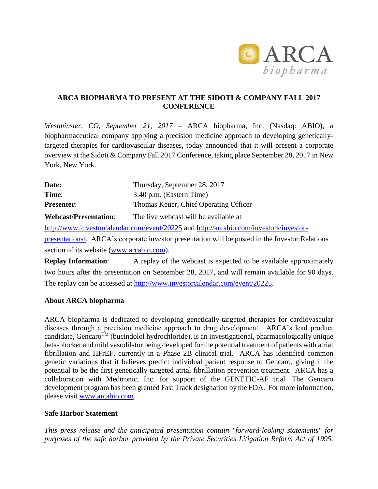

## **ARCA BIOPHARMA TO PRESENT AT THE SIDOTI & COMPANY FALL 2017 CONFERENCE**

*Westminster, CO, September 21, 2017* – ARCA biopharma, Inc. (Nasdaq: ABIO), a biopharmaceutical company applying a precision medicine approach to developing geneticallytargeted therapies for cardiovascular diseases, today announced that it will present a corporate overview at the Sidoti & Company Fall 2017 Conference, taking place September 28, 2017 in New York, New York.

| Date:                 | Thursday, September 28, 2017          |
|-----------------------|---------------------------------------|
| Time:                 | 3:40 p.m. (Eastern Time)              |
| <b>Presenter:</b>     | Thomas Keuer, Chief Operating Officer |
| Webcast/Presentation: | The live webcast will be available at |

<http://www.investorcalendar.com/event/20225> and [http://arcabio.com/investors/investor](http://arcabio.com/investors/investor-presentations/)[presentations/.](http://arcabio.com/investors/investor-presentations/) ARCA's corporate investor presentation will be posted in the Investor Relations

section of its website [\(www.arcabio.com\)](http://www.arcabio.com/).

**Replay Information:** A replay of the webcast is expected to be available approximately two hours after the presentation on September 28, 2017, and will remain available for 90 days. The replay can be accessed at [http://www.investorcalendar.com/event/20225.](http://www.investorcalendar.com/event/20225)

## **About ARCA biopharma**

ARCA biopharma is dedicated to developing genetically-targeted therapies for cardiovascular diseases through a precision medicine approach to drug development. ARCA's lead product candidate, Gencaro<sup>TM</sup> (bucindolol hydrochloride), is an investigational, pharmacologically unique beta-blocker and mild vasodilator being developed for the potential treatment of patients with atrial fibrillation and HFrEF, currently in a Phase 2B clinical trial. ARCA has identified common genetic variations that it believes predict individual patient response to Gencaro, giving it the potential to be the first genetically-targeted atrial fibrillation prevention treatment. ARCA has a collaboration with Medtronic, Inc. for support of the GENETIC-AF trial. The Gencaro development program has been granted Fast Track designation by the FDA. For more information, please visit [www.arcabio.com.](http://www.arcabio.com/)

## **Safe Harbor Statement**

*This press release and the anticipated presentation contain "forward-looking statements" for purposes of the safe harbor provided by the Private Securities Litigation Reform Act of 1995.*